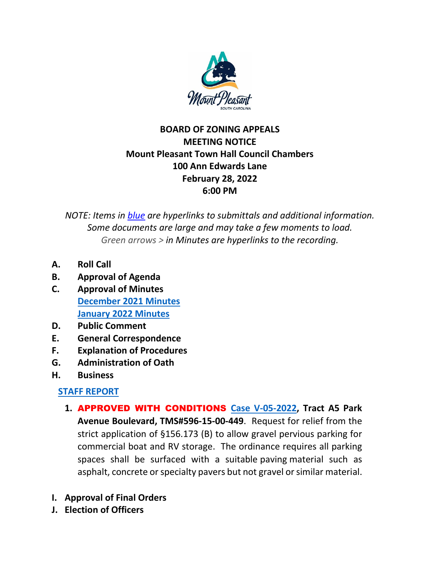

## **BOARD OF ZONING APPEALS MEETING NOTICE Mount Pleasant Town Hall Council Chambers 100 Ann Edwards Lane February 28, 2022 6:00 PM**

*NOTE: Items in blue are hyperlinks to submittals and additional information. Some documents are large and may take a few moments to load. Green arrows > in Minutes are hyperlinks to the recording.*

- **A. Roll Call**
- **B. Approval of Agenda**
- **C. Approval of Minutes [December 2021 Minutes](https://www.tompsc.com/AgendaCenter/ViewFile/Minutes/_12062021-1095) [January 2022 Minutes](https://www.tompsc.com/AgendaCenter/ViewFile/Minutes/_01312022-1127)**
- **D. Public Comment**
- **E. General Correspondence**
- **F. Explanation of Procedures**
- **G. Administration of Oath**
- **H. Business**

## **[STAFF REPORT](https://www.tompsc.com/DocumentCenter/View/40707/BOZA-Staff-Report-2282022)**

- **1.** APPROVED WITH CONDITIONS **[Case V-05-2022,](https://www.tompsc.com/DocumentCenter/View/40444/V-05-22-Tract-A5-Park-Avenue-Blvd-5961500449-22822) Tract A5 Park Avenue Boulevard, TMS#596-15-00-449**. Request for relief from the strict application of §156.173 (B) to allow gravel pervious parking for commercial boat and RV storage. The ordinance requires all parking spaces shall be surfaced with a suitable paving material such as asphalt, concrete or specialty pavers but not gravel or similar material.
- **I. Approval of Final Orders**
- **J. Election of Officers**